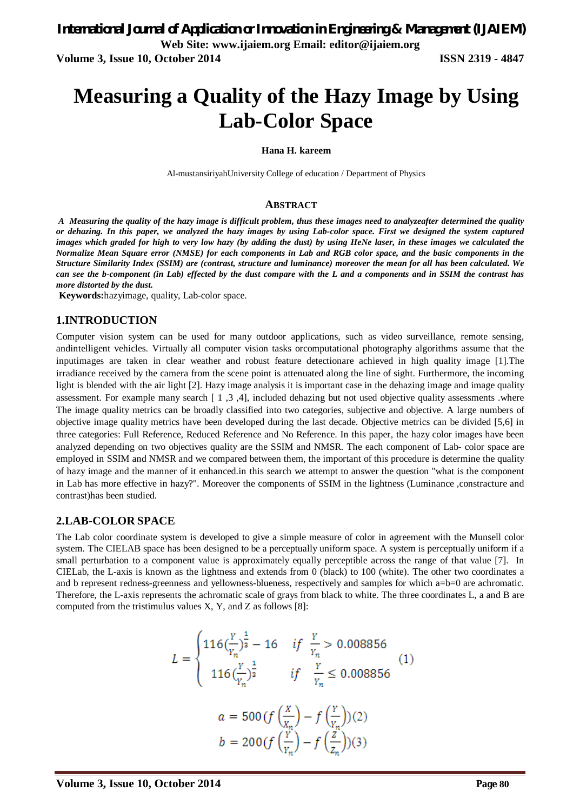# **Measuring a Quality of the Hazy Image by Using Lab-Color Space**

#### **Hana H. kareem**

Al-mustansiriyahUniversity College of education / Department of Physics

#### **ABSTRACT**

*A Measuring the quality of the hazy image is difficult problem, thus these images need to analyzeafter determined the quality or dehazing. In this paper, we analyzed the hazy images by using Lab-color space. First we designed the system captured images which graded for high to very low hazy (by adding the dust) by using HeNe laser, in these images we calculated the Normalize Mean Square error (NMSE) for each components in Lab and RGB color space, and the basic components in the Structure Similarity Index (SSIM) are (contrast, structure and luminance) moreover the mean for all has been calculated. We can see the b-component (in Lab) effected by the dust compare with the L and a components and in SSIM the contrast has more distorted by the dust.*

**Keywords:**hazyimage, quality, Lab-color space.

#### **1.INTRODUCTION**

Computer vision system can be used for many outdoor applications, such as video surveillance, remote sensing, andintelligent vehicles. Virtually all computer vision tasks orcomputational photography algorithms assume that the inputimages are taken in clear weather and robust feature detectionare achieved in high quality image [1].The irradiance received by the camera from the scene point is attenuated along the line of sight. Furthermore, the incoming light is blended with the air light [2]. Hazy image analysis it is important case in the dehazing image and image quality assessment. For example many search [ 1 ,3 ,4], included dehazing but not used objective quality assessments .where The image quality metrics can be broadly classified into two categories, subjective and objective. A large numbers of objective image quality metrics have been developed during the last decade. Objective metrics can be divided [5,6] in three categories: Full Reference, Reduced Reference and No Reference. In this paper, the hazy color images have been analyzed depending on two objectives quality are the SSIM and NMSR. The each component of Lab- color space are employed in SSIM and NMSR and we compared between them, the important of this procedure is determine the quality of hazy image and the manner of it enhanced.in this search we attempt to answer the question "what is the component in Lab has more effective in hazy?". Moreover the components of SSIM in the lightness (Luminance ,constracture and contrast)has been studied.

#### **2.LAB-COLOR SPACE**

The Lab color coordinate system is developed to give a simple measure of color in agreement with the Munsell color system. The CIELAB space has been designed to be a perceptually uniform space. A system is perceptually uniform if a small perturbation to a component value is approximately equally perceptible across the range of that value [7]. In CIELab, the L-axis is known as the lightness and extends from 0 (black) to 100 (white). The other two coordinates a and b represent redness-greenness and yellowness-blueness, respectively and samples for which a=b=0 are achromatic. Therefore, the L-axis represents the achromatic scale of grays from black to white. The three coordinates L, a and B are computed from the tristimulus values X, Y, and Z as follows [8]:

$$
L = \begin{cases} 116\left(\frac{Y}{Y_n}\right)^{\frac{1}{2}} - 16 & \text{if } \frac{Y}{Y_n} > 0.008856\\ 116\left(\frac{Y}{Y_n}\right)^{\frac{1}{2}} & \text{if } \frac{Y}{Y_n} \le 0.008856 \end{cases} (1)
$$

$$
a = 500 \left(\frac{X}{X_n}\right) - f\left(\frac{Y}{Y_n}\right)(2)
$$

$$
b = 200 \left(\frac{Y}{Y_n}\right) - f\left(\frac{Z}{Z_n}\right)(3)
$$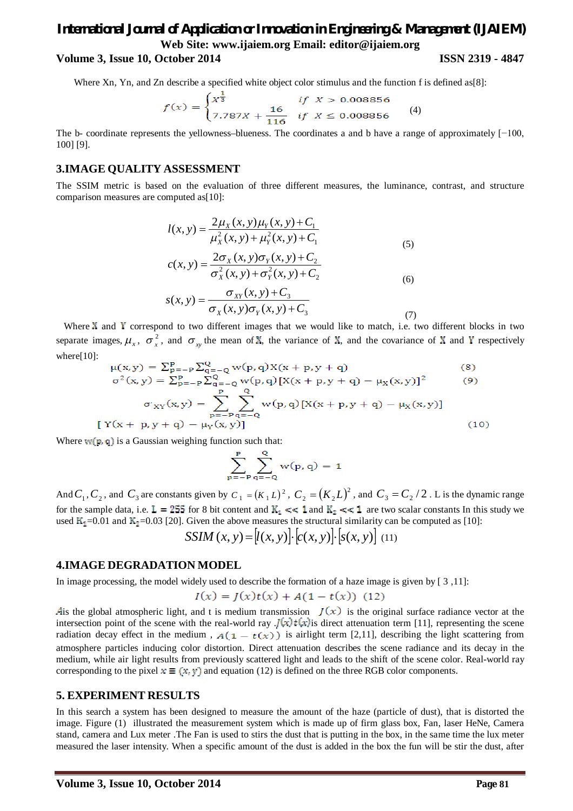# *International Journal of Application or Innovation in Engineering & Management (IJAIEM)* **Web Site: www.ijaiem.org Email: editor@ijaiem.org**

### **Volume 3, Issue 10, October 2014 ISSN 2319 - 4847**

Where Xn, Yn, and Zn describe a specified white object color stimulus and the function f is defined as[8]:

$$
f(x) = \begin{cases} x^{\frac{1}{3}} & \text{if } x > 0.008856\\ 7.787x + \frac{16}{116} & \text{if } x \le 0.008856 \end{cases}
$$
(4)

The b- coordinate represents the yellowness–blueness. The coordinates a and b have a range of approximately [−100, 100] [9].

#### **3.IMAGE QUALITY ASSESSMENT**

The SSIM metric is based on the evaluation of three different measures, the luminance, contrast, and structure comparison measures are computed as [10]:

$$
l(x, y) = \frac{2\mu_X(x, y)\mu_Y(x, y) + C_1}{\mu_X^2(x, y) + \mu_Y^2(x, y) + C_1}
$$
  
\n
$$
c(x, y) = \frac{2\sigma_X(x, y)\sigma_Y(x, y) + C_2}{\sigma_X^2(x, y) + \sigma_Y^2(x, y) + C_2}
$$
\n(6)

$$
s(x, y) = \frac{\sigma_{XY}(x, y) + C_3}{\sigma_X(x, y)\sigma_Y(x, y) + C_3}
$$
\n(7)

Where  $X$  and  $Y$  correspond to two different images that we would like to match, i.e. two different blocks in two separate images,  $\mu_x$ ,  $\sigma_x^2$ , and  $\sigma_{xy}$  the mean of X, the variance of X, and the covariance of X and Y respectively where[10]:

$$
\mu(x, y) = \sum_{p=-P}^{P} \sum_{q=-Q}^{Q} w(p, q) X(x + p, y + q)
$$
(8)  
\n
$$
\sigma^{2}(x, y) = \sum_{p=-P}^{P} \sum_{q=-Q}^{Q} w(p, q) [X(x + p, y + q) - \mu_{X}(x, y)]^{2}
$$
(9)  
\n
$$
\sigma_{XY}(x, y) = \sum_{p=-P}^{P} \sum_{q=-Q}^{Q} w(p, q) [X(x + p, y + q) - \mu_{X}(x, y)]
$$
  
\n[Y(x + p, y + q) - \mu\_{Y}(x, y)] (10)

Where  $w(p, q)$  is a Gaussian weighing function such that:

$$
\sum_{p=-P}^{P} \sum_{q=-Q}^{Q} w(p,q) = 1
$$

And  $C_1$ ,  $C_2$ , and  $C_3$  are constants given by  $C_1 = (K_1 L)^2$ ,  $C_2 = (K_2 L)^2$ , and  $C_3 = C_2 / 2$ . L is the dynamic range for the sample data, i.e.  $L = 255$  for 8 bit content and  $K_1 \ll 1$  and  $K_2 \ll 1$  are two scalar constants In this study we used  $K_1 = 0.01$  and  $K_2 = 0.03$  [20]. Given the above measures the structural similarity can be computed as [10]:

$$
SSIM(x, y) = [l(x, y)] \cdot [c(x, y)] \cdot [s(x, y)] \tag{11}
$$

#### **4.IMAGE DEGRADATION MODEL**

In image processing, the model widely used to describe the formation of a haze image is given by [ 3 ,11]:

$$
I(x) = J(x)t(x) + A(1 - t(x))
$$
 (12)

Ais the global atmospheric light, and t is medium transmission  $J(x)$  is the original surface radiance vector at the intersection point of the scene with the real-world ray  $J(x)t(x)$  is direct attenuation term [11], representing the scene radiation decay effect in the medium,  $A(1 - t(x))$  is airlight term [2,11], describing the light scattering from atmosphere particles inducing color distortion. Direct attenuation describes the scene radiance and its decay in the medium, while air light results from previously scattered light and leads to the shift of the scene color. Real-world ray corresponding to the pixel  $x \equiv (x, y)$  and equation (12) is defined on the three RGB color components.

#### **5. EXPERIMENT RESULTS**

In this search a system has been designed to measure the amount of the haze (particle of dust), that is distorted the image. Figure (1) illustrated the measurement system which is made up of firm glass box, Fan, laser HeNe, Camera stand, camera and Lux meter .The Fan is used to stirs the dust that is putting in the box, in the same time the lux meter measured the laser intensity. When a specific amount of the dust is added in the box the fun will be stir the dust, after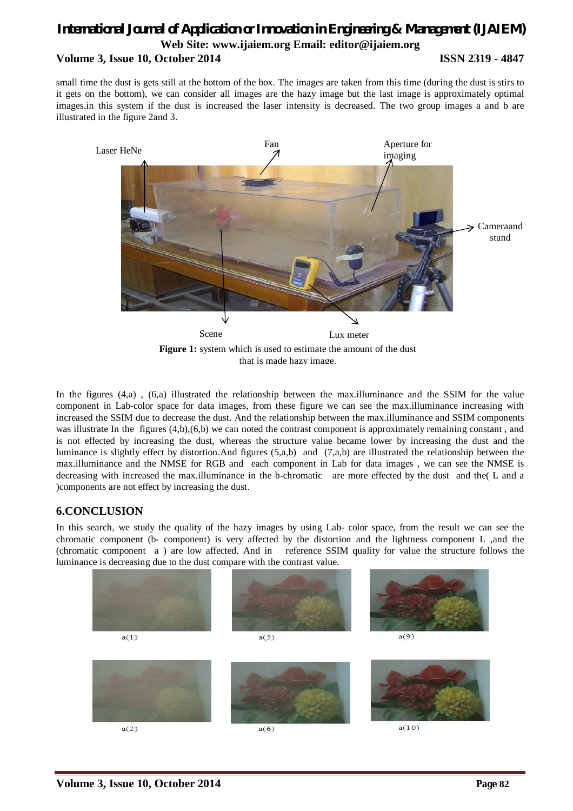## *International Journal of Application or Innovation in Engineering & Management (IJAIEM)* **Web Site: www.ijaiem.org Email: editor@ijaiem.org Volume 3, Issue 10, October 2014 ISSN 2319 - 4847**

small time the dust is gets still at the bottom of the box. The images are taken from this time (during the dust is stirs to it gets on the bottom), we can consider all images are the hazy image but the last image is approximately optimal images.in this system if the dust is increased the laser intensity is decreased. The two group images a and b are illustrated in the figure 2and 3.



**Figure 1:** system which is used to estimate the amount of the dust that is made hazy image.

In the figures (4,a) , (6,a) illustrated the relationship between the max.illuminance and the SSIM for the value component in Lab-color space for data images, from these figure we can see the max.illuminance increasing with increased the SSIM due to decrease the dust. And the relationship between the max.illuminance and SSIM components was illustrate In the figures  $(4,b),(6,b)$  we can noted the contrast component is approximately remaining constant, and is not effected by increasing the dust, whereas the structure value became lower by increasing the dust and the luminance is slightly effect by distortion.And figures (5,a,b) and (7,a,b) are illustrated the relationship between the max.illuminance and the NMSE for RGB and each component in Lab for data images , we can see the NMSE is decreasing with increased the max.illuminance in the b-chromatic are more effected by the dust and the( L and a )components are not effect by increasing the dust.

## **6.CONCLUSION**

In this search, we study the quality of the hazy images by using Lab- color space, from the result we can see the chromatic component (b- component) is very affected by the distortion and the lightness component L ,and the (chromatic component a ) are low affected. And in reference SSIM quality for value the structure follows the luminance is decreasing due to the dust compare with the contrast value.

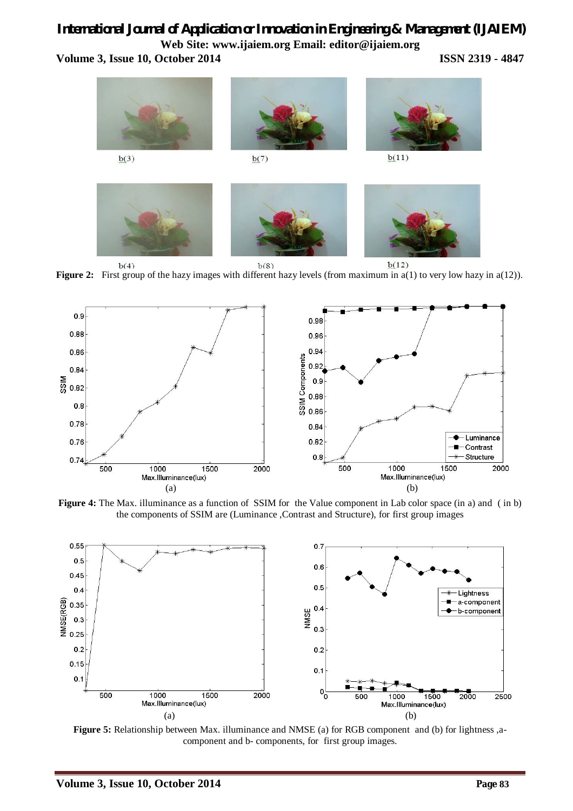# *International Journal of Application or Innovation in Engineering & Management (IJAIEM)* **Web Site: www.ijaiem.org Email: editor@ijaiem.org**

**Volume 3, Issue 10, October 2014 ISSN 2319 - 4847**



<sup>b(4)</sup><br>**Figure 2:** First group of the hazy images with different hazy levels (from maximum in a(1) to very low hazy in a(12)).



**Figure 4:** The Max. illuminance as a function of SSIM for the Value component in Lab color space (in a) and ( in b) the components of SSIM are (Luminance ,Contrast and Structure), for first group images



**Figure 5:** Relationship between Max. illuminance and NMSE (a) for RGB component and (b) for lightness ,acomponent and b- components, for first group images.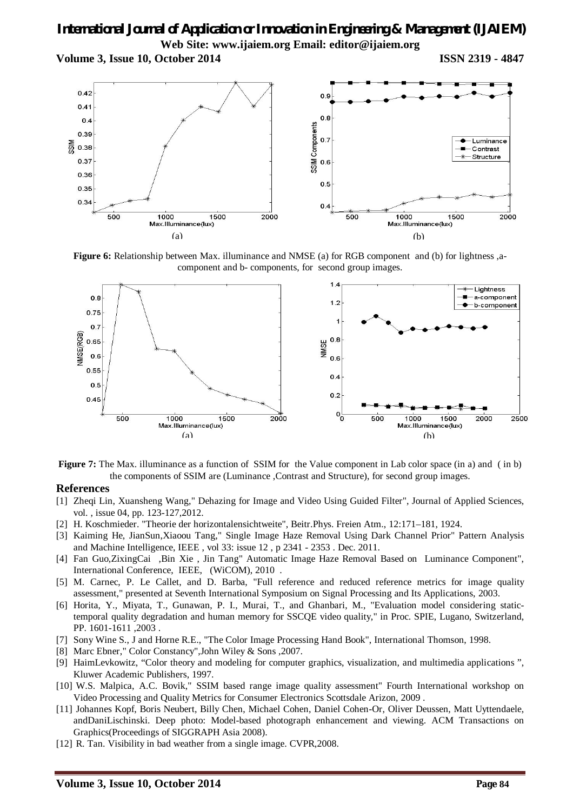# *International Journal of Application or Innovation in Engineering & Management (IJAIEM)* **Web Site: www.ijaiem.org Email: editor@ijaiem.org**

**Volume 3, Issue 10, October 2014 ISSN 2319 - 4847**



**Figure 6:** Relationship between Max. illuminance and NMSE (a) for RGB component and (b) for lightness ,acomponent and b- components, for second group images.



**Figure 7:** The Max. illuminance as a function of SSIM for the Value component in Lab color space (in a) and (in b) the components of SSIM are (Luminance ,Contrast and Structure), for second group images.

#### **References**

- [1] Zheqi Lin, Xuansheng Wang," Dehazing for Image and Video Using Guided Filter", Journal of Applied Sciences, vol. , issue 04, pp. 123-127,2012.
- [2] H. Koschmieder. "Theorie der horizontalensichtweite", Beitr.Phys. Freien Atm., 12:171–181, 1924.
- [3] Kaiming He, JianSun,Xiaoou Tang," Single Image Haze Removal Using Dark Channel Prior" Pattern Analysis and Machine Intelligence, IEEE , vol 33: issue 12 , p 2341 - 2353 . Dec. 2011.
- [4] Fan Guo,ZixingCai ,Bin Xie , Jin Tang" Automatic Image Haze Removal Based on Luminance Component", International Conference, IEEE, (WiCOM), 2010 .
- [5] M. Carnec, P. Le Callet, and D. Barba, "Full reference and reduced reference metrics for image quality assessment," presented at Seventh International Symposium on Signal Processing and Its Applications, 2003.
- [6] Horita, Y., Miyata, T., Gunawan, P. I., Murai, T., and Ghanbari, M., "Evaluation model considering statictemporal quality degradation and human memory for SSCQE video quality," in Proc. SPIE, Lugano, Switzerland, PP. 1601-1611 ,2003 .
- [7] Sony Wine S., J and Horne R.E., "The Color Image Processing Hand Book", International Thomson, 1998.
- [8] Marc Ebner," Color Constancy",John Wiley & Sons ,2007.
- [9] HaimLevkowitz, "Color theory and modeling for computer graphics, visualization, and multimedia applications ", Kluwer Academic Publishers, 1997.
- [10] W.S. Malpica, A.C. Bovik," SSIM based range image quality assessment" Fourth International workshop on Video Processing and Quality Metrics for Consumer Electronics Scottsdale Arizon, 2009 .
- [11] Johannes Kopf, Boris Neubert, Billy Chen, Michael Cohen, Daniel Cohen-Or, Oliver Deussen, Matt Uyttendaele, andDaniLischinski. Deep photo: Model-based photograph enhancement and viewing. ACM Transactions on Graphics(Proceedings of SIGGRAPH Asia 2008).
- [12] R. Tan. Visibility in bad weather from a single image. CVPR, 2008.